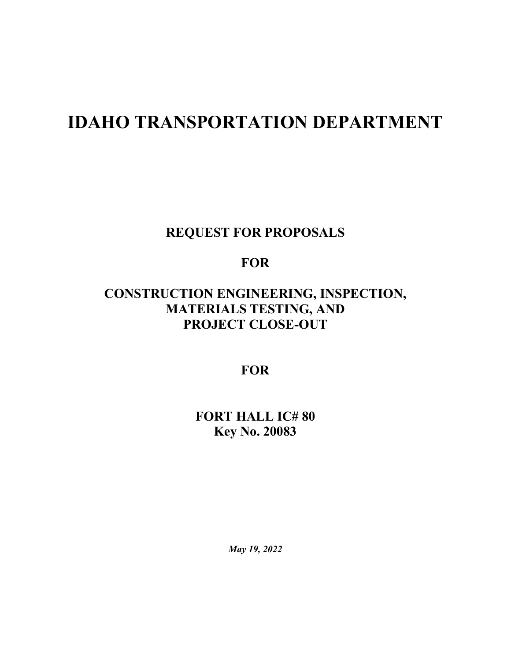# **IDAHO TRANSPORTATION DEPARTMENT**

**REQUEST FOR PROPOSALS**

**FOR**

# **CONSTRUCTION ENGINEERING, INSPECTION, MATERIALS TESTING, AND PROJECT CLOSE-OUT**

**FOR**

**FORT HALL IC# 80 Key No. 20083**

*May 19, 2022*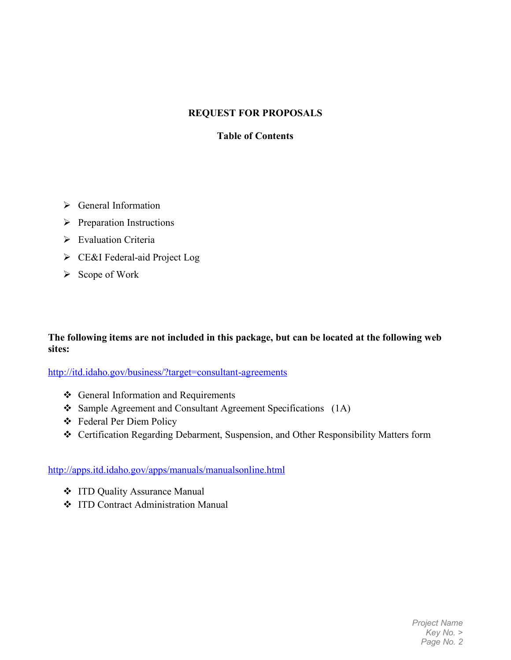#### **REQUEST FOR PROPOSALS**

#### **Table of Contents**

- $\triangleright$  General Information
- $\triangleright$  Preparation Instructions
- Evaluation Criteria
- CE&I Federal-aid Project Log
- $\triangleright$  Scope of Work

#### **The following items are not included in this package, but can be located at the following web sites:**

<http://itd.idaho.gov/business/?target=consultant-agreements>

- General Information and Requirements
- Sample Agreement and Consultant Agreement Specifications (1A)
- Federal Per Diem Policy
- Certification Regarding Debarment, Suspension, and Other Responsibility Matters form

#### <http://apps.itd.idaho.gov/apps/manuals/manualsonline.html>

- ITD Quality Assurance Manual
- ITD Contract Administration Manual

*Project Name Key No. > Page No. 2*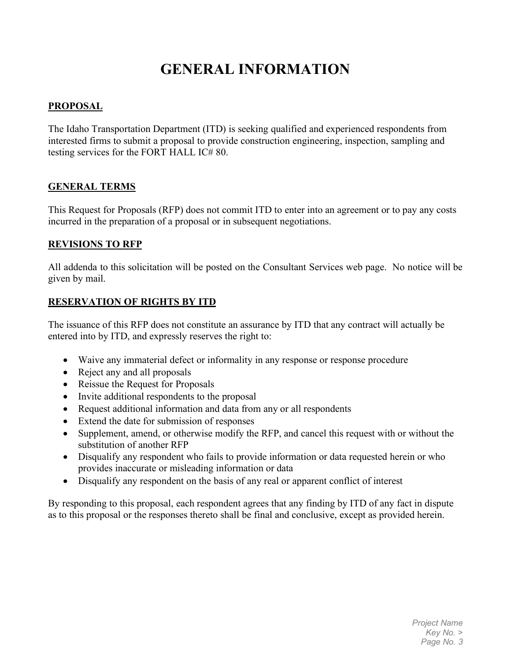# **GENERAL INFORMATION**

#### **PROPOSAL**

The Idaho Transportation Department (ITD) is seeking qualified and experienced respondents from interested firms to submit a proposal to provide construction engineering, inspection, sampling and testing services for the FORT HALL IC# 80.

#### **GENERAL TERMS**

This Request for Proposals (RFP) does not commit ITD to enter into an agreement or to pay any costs incurred in the preparation of a proposal or in subsequent negotiations.

#### **REVISIONS TO RFP**

All addenda to this solicitation will be posted on the Consultant Services web page. No notice will be given by mail.

#### **RESERVATION OF RIGHTS BY ITD**

The issuance of this RFP does not constitute an assurance by ITD that any contract will actually be entered into by ITD, and expressly reserves the right to:

- Waive any immaterial defect or informality in any response or response procedure
- Reject any and all proposals
- Reissue the Request for Proposals
- Invite additional respondents to the proposal
- Request additional information and data from any or all respondents
- Extend the date for submission of responses
- Supplement, amend, or otherwise modify the RFP, and cancel this request with or without the substitution of another RFP
- Disqualify any respondent who fails to provide information or data requested herein or who provides inaccurate or misleading information or data
- Disqualify any respondent on the basis of any real or apparent conflict of interest

By responding to this proposal, each respondent agrees that any finding by ITD of any fact in dispute as to this proposal or the responses thereto shall be final and conclusive, except as provided herein.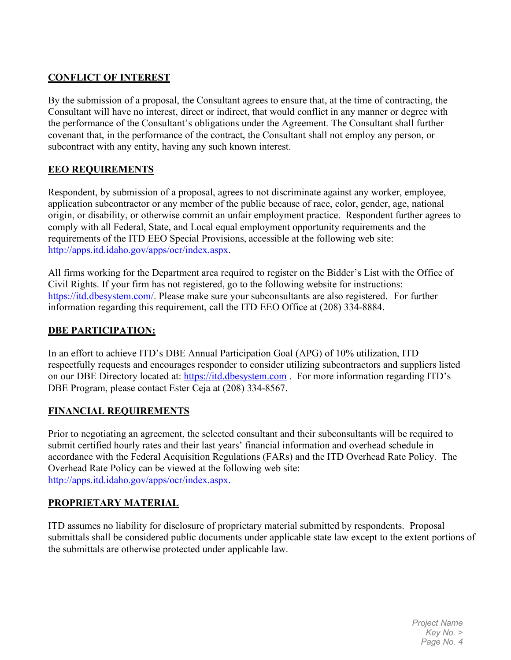#### **CONFLICT OF INTEREST**

By the submission of a proposal, the Consultant agrees to ensure that, at the time of contracting, the Consultant will have no interest, direct or indirect, that would conflict in any manner or degree with the performance of the Consultant's obligations under the Agreement. The Consultant shall further covenant that, in the performance of the contract, the Consultant shall not employ any person, or subcontract with any entity, having any such known interest.

#### **EEO REQUIREMENTS**

Respondent, by submission of a proposal, agrees to not discriminate against any worker, employee, application subcontractor or any member of the public because of race, color, gender, age, national origin, or disability, or otherwise commit an unfair employment practice. Respondent further agrees to comply with all Federal, State, and Local equal employment opportunity requirements and the requirements of the ITD EEO Special Provisions, accessible at the following web site: http://apps.itd.idaho.gov/apps/ocr/index.aspx.

All firms working for the Department area required to register on the Bidder's List with the Office of Civil Rights. If your firm has not registered, go to the following website for instructions: [https://itd.dbesystem.com/.](https://itd.dbesystem.com/) Please make sure your subconsultants are also registered. For further information regarding this requirement, call the ITD EEO Office at (208) 334-8884.

#### **DBE PARTICIPATION:**

In an effort to achieve ITD's DBE Annual Participation Goal (APG) of 10% utilization, ITD respectfully requests and encourages responder to consider utilizing subcontractors and suppliers listed on our DBE Directory located at: [https://itd.dbesystem.com](https://itd.dbesystem.com/) . For more information regarding ITD's DBE Program, please contact Ester Ceja at (208) 334-8567.

#### **FINANCIAL REQUIREMENTS**

Prior to negotiating an agreement, the selected consultant and their subconsultants will be required to submit certified hourly rates and their last years' financial information and overhead schedule in accordance with the Federal Acquisition Regulations (FARs) and the ITD Overhead Rate Policy. The Overhead Rate Policy can be viewed at the following web site: http://apps.itd.idaho.gov/apps/ocr/index.aspx.

#### **PROPRIETARY MATERIAL**

ITD assumes no liability for disclosure of proprietary material submitted by respondents. Proposal submittals shall be considered public documents under applicable state law except to the extent portions of the submittals are otherwise protected under applicable law.

> *Project Name Key No. > Page No. 4*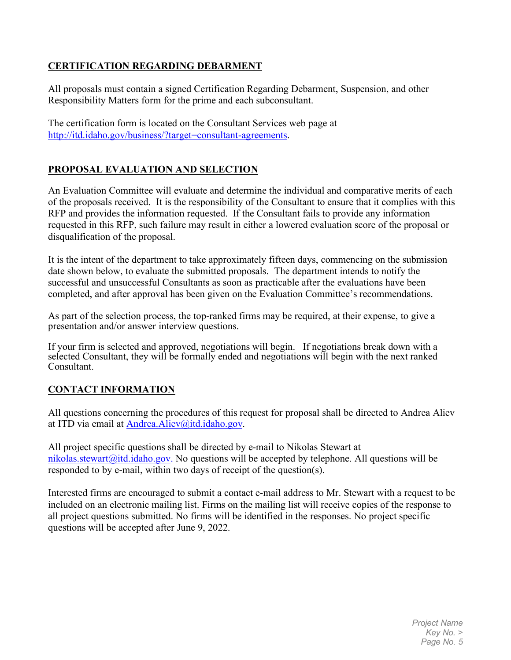#### **CERTIFICATION REGARDING DEBARMENT**

All proposals must contain a signed Certification Regarding Debarment, Suspension, and other Responsibility Matters form for the prime and each subconsultant.

The certification form is located on the Consultant Services web page at [http://itd.idaho.gov/business/?target=consultant-agreements.](http://itd.idaho.gov/business/?target=consultant-agreements)

## **PROPOSAL EVALUATION AND SELECTION**

An Evaluation Committee will evaluate and determine the individual and comparative merits of each of the proposals received. It is the responsibility of the Consultant to ensure that it complies with this RFP and provides the information requested. If the Consultant fails to provide any information requested in this RFP, such failure may result in either a lowered evaluation score of the proposal or disqualification of the proposal.

It is the intent of the department to take approximately fifteen days, commencing on the submission date shown below, to evaluate the submitted proposals. The department intends to notify the successful and unsuccessful Consultants as soon as practicable after the evaluations have been completed, and after approval has been given on the Evaluation Committee's recommendations.

As part of the selection process, the top-ranked firms may be required, at their expense, to give a presentation and/or answer interview questions.

If your firm is selected and approved, negotiations will begin. If negotiations break down with a selected Consultant, they will be formally ended and negotiations will begin with the next ranked Consultant.

## **CONTACT INFORMATION**

All questions concerning the procedures of this request for proposal shall be directed to Andrea Aliev at ITD via email at [Andrea.Aliev@itd.idaho.gov.](mailto:Andrea.Aliev@itd.idaho.gov)

All project specific questions shall be directed by e-mail to Nikolas Stewart at nikolas.stewart@itd.idaho.gov. No questions will be accepted by telephone. All questions will be responded to by e-mail, within two days of receipt of the question(s).

Interested firms are encouraged to submit a contact e-mail address to Mr. Stewart with a request to be included on an electronic mailing list. Firms on the mailing list will receive copies of the response to all project questions submitted. No firms will be identified in the responses. No project specific questions will be accepted after June 9, 2022.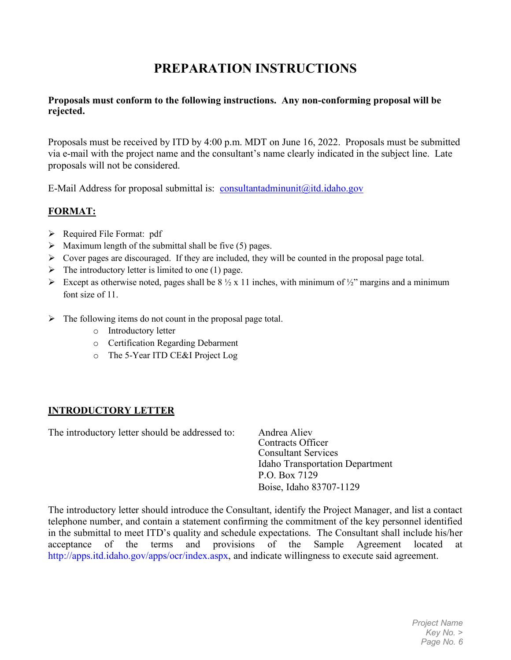# **PREPARATION INSTRUCTIONS**

#### **Proposals must conform to the following instructions. Any non-conforming proposal will be rejected.**

Proposals must be received by ITD by 4:00 p.m. MDT on June 16, 2022. Proposals must be submitted via e-mail with the project name and the consultant's name clearly indicated in the subject line. Late proposals will not be considered.

E-Mail Address for proposal submittal is: [consultantadminunit@itd.idaho.gov](mailto:consultantadminunit@itd.idaho.gov)

#### **FORMAT:**

- $\triangleright$  Required File Format: pdf
- $\triangleright$  Maximum length of the submittal shall be five (5) pages.
- $\triangleright$  Cover pages are discouraged. If they are included, they will be counted in the proposal page total.
- $\triangleright$  The introductory letter is limited to one (1) page.
- Except as otherwise noted, pages shall be  $8\frac{1}{2} \times 11$  inches, with minimum of  $\frac{1}{2}$ " margins and a minimum font size of 11.
- $\triangleright$  The following items do not count in the proposal page total.
	- o Introductory letter
	- o Certification Regarding Debarment
	- o The 5-Year ITD CE&I Project Log

## **INTRODUCTORY LETTER**

The introductory letter should be addressed to: Andrea Aliev

Contracts Officer Consultant Services Idaho Transportation Department P.O. Box 7129 Boise, Idaho 83707-1129

The introductory letter should introduce the Consultant, identify the Project Manager, and list a contact telephone number, and contain a statement confirming the commitment of the key personnel identified in the submittal to meet ITD's quality and schedule expectations. The Consultant shall include his/her acceptance of the terms and provisions of the Sample Agreement located at http://apps.itd.idaho.gov/apps/ocr/index.aspx, and indicate willingness to execute said agreement.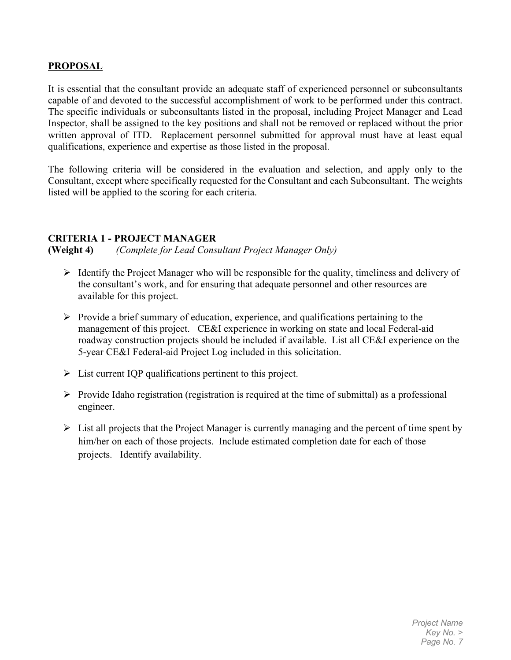#### **PROPOSAL**

It is essential that the consultant provide an adequate staff of experienced personnel or subconsultants capable of and devoted to the successful accomplishment of work to be performed under this contract. The specific individuals or subconsultants listed in the proposal, including Project Manager and Lead Inspector, shall be assigned to the key positions and shall not be removed or replaced without the prior written approval of ITD. Replacement personnel submitted for approval must have at least equal qualifications, experience and expertise as those listed in the proposal.

The following criteria will be considered in the evaluation and selection, and apply only to the Consultant, except where specifically requested for the Consultant and each Subconsultant. The weights listed will be applied to the scoring for each criteria.

#### **CRITERIA 1 - PROJECT MANAGER**

**(Weight 4)** *(Complete for Lead Consultant Project Manager Only)*

- $\triangleright$  Identify the Project Manager who will be responsible for the quality, timeliness and delivery of the consultant's work, and for ensuring that adequate personnel and other resources are available for this project.
- $\triangleright$  Provide a brief summary of education, experience, and qualifications pertaining to the management of this project. CE&I experience in working on state and local Federal-aid roadway construction projects should be included if available. List all CE&I experience on the 5-year CE&I Federal-aid Project Log included in this solicitation.
- $\triangleright$  List current IQP qualifications pertinent to this project.
- $\triangleright$  Provide Idaho registration (registration is required at the time of submittal) as a professional engineer.
- $\triangleright$  List all projects that the Project Manager is currently managing and the percent of time spent by him/her on each of those projects. Include estimated completion date for each of those projects. Identify availability.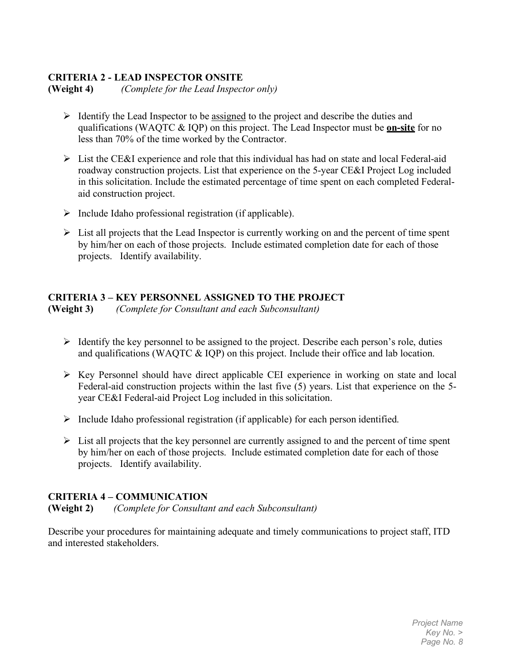#### **CRITERIA 2 - LEAD INSPECTOR ONSITE**

**(Weight 4)** *(Complete for the Lead Inspector only)*

- $\triangleright$  Identify the Lead Inspector to be assigned to the project and describe the duties and qualifications (WAQTC & IQP) on this project. The Lead Inspector must be **on-site** for no less than 70% of the time worked by the Contractor.
- $\triangleright$  List the CE&I experience and role that this individual has had on state and local Federal-aid roadway construction projects. List that experience on the 5-year CE&I Project Log included in this solicitation. Include the estimated percentage of time spent on each completed Federalaid construction project.
- $\triangleright$  Include Idaho professional registration (if applicable).
- $\triangleright$  List all projects that the Lead Inspector is currently working on and the percent of time spent by him/her on each of those projects. Include estimated completion date for each of those projects. Identify availability.

#### **CRITERIA 3 – KEY PERSONNEL ASSIGNED TO THE PROJECT**

**(Weight 3)** *(Complete for Consultant and each Subconsultant)*

- $\triangleright$  Identify the key personnel to be assigned to the project. Describe each person's role, duties and qualifications (WAQTC & IQP) on this project. Include their office and lab location.
- $\triangleright$  Key Personnel should have direct applicable CEI experience in working on state and local Federal-aid construction projects within the last five (5) years. List that experience on the 5 year CE&I Federal-aid Project Log included in this solicitation.
- $\triangleright$  Include Idaho professional registration (if applicable) for each person identified.
- $\triangleright$  List all projects that the key personnel are currently assigned to and the percent of time spent by him/her on each of those projects. Include estimated completion date for each of those projects. Identify availability.

#### **CRITERIA 4 – COMMUNICATION**

**(Weight 2)** *(Complete for Consultant and each Subconsultant)*

Describe your procedures for maintaining adequate and timely communications to project staff, ITD and interested stakeholders.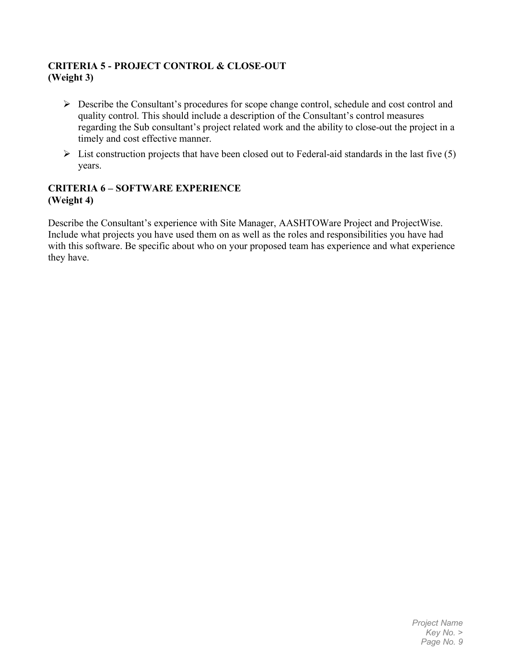#### **CRITERIA 5 - PROJECT CONTROL & CLOSE-OUT (Weight 3)**

- Describe the Consultant's procedures for scope change control, schedule and cost control and quality control. This should include a description of the Consultant's control measures regarding the Sub consultant's project related work and the ability to close-out the project in a timely and cost effective manner.
- $\triangleright$  List construction projects that have been closed out to Federal-aid standards in the last five (5) years.

#### **CRITERIA 6 – SOFTWARE EXPERIENCE (Weight 4)**

Describe the Consultant's experience with Site Manager, AASHTOWare Project and ProjectWise. Include what projects you have used them on as well as the roles and responsibilities you have had with this software. Be specific about who on your proposed team has experience and what experience they have.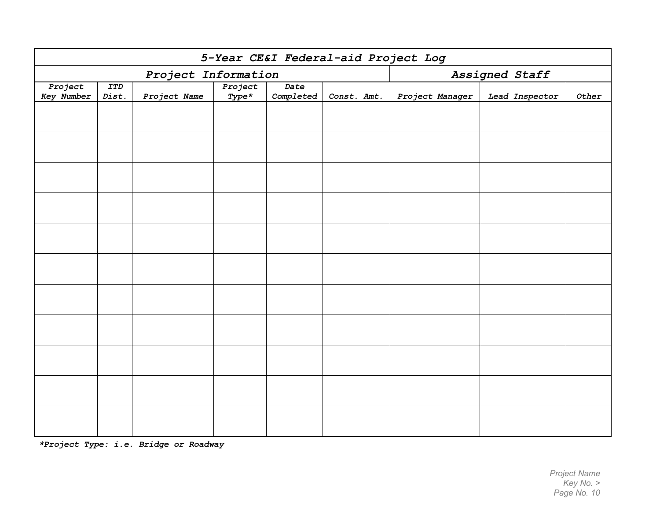| 5-Year CE&I Federal-aid Project Log |                     |              |                    |                   |             |                 |                |              |
|-------------------------------------|---------------------|--------------|--------------------|-------------------|-------------|-----------------|----------------|--------------|
| Project Information                 |                     |              |                    |                   |             | Assigned Staff  |                |              |
| Project<br><b>Key Number</b>        | <b>ITD</b><br>Dist. | Project Name | Project<br>$Type*$ | Date<br>Completed | Const. Amt. | Project Manager | Lead Inspector | $\it{Other}$ |
|                                     |                     |              |                    |                   |             |                 |                |              |
|                                     |                     |              |                    |                   |             |                 |                |              |
|                                     |                     |              |                    |                   |             |                 |                |              |
|                                     |                     |              |                    |                   |             |                 |                |              |
|                                     |                     |              |                    |                   |             |                 |                |              |
|                                     |                     |              |                    |                   |             |                 |                |              |
|                                     |                     |              |                    |                   |             |                 |                |              |
|                                     |                     |              |                    |                   |             |                 |                |              |
|                                     |                     |              |                    |                   |             |                 |                |              |
|                                     |                     |              |                    |                   |             |                 |                |              |
|                                     |                     |              |                    |                   |             |                 |                |              |
|                                     |                     |              |                    |                   |             |                 |                |              |

*\*Project Type: i.e. Bridge or Roadway*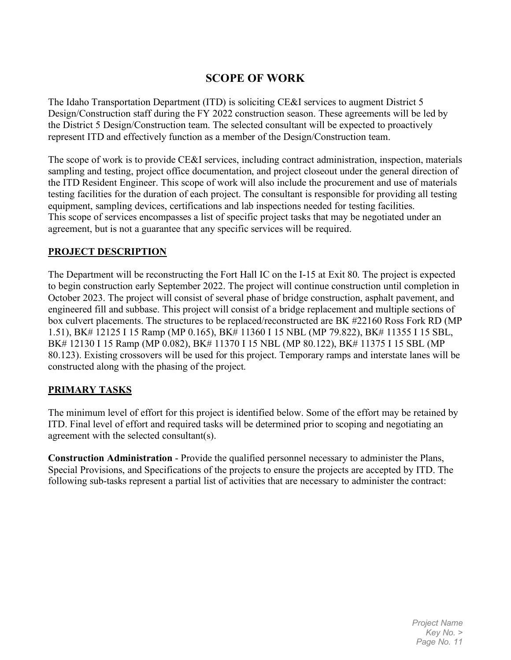## **SCOPE OF WORK**

The Idaho Transportation Department (ITD) is soliciting CE&I services to augment District 5 Design/Construction staff during the FY 2022 construction season. These agreements will be led by the District 5 Design/Construction team. The selected consultant will be expected to proactively represent ITD and effectively function as a member of the Design/Construction team.

The scope of work is to provide CE&I services, including contract administration, inspection, materials sampling and testing, project office documentation, and project closeout under the general direction of the ITD Resident Engineer. This scope of work will also include the procurement and use of materials testing facilities for the duration of each project. The consultant is responsible for providing all testing equipment, sampling devices, certifications and lab inspections needed for testing facilities. This scope of services encompasses a list of specific project tasks that may be negotiated under an agreement, but is not a guarantee that any specific services will be required.

#### **PROJECT DESCRIPTION**

The Department will be reconstructing the Fort Hall IC on the I-15 at Exit 80. The project is expected to begin construction early September 2022. The project will continue construction until completion in October 2023. The project will consist of several phase of bridge construction, asphalt pavement, and engineered fill and subbase. This project will consist of a bridge replacement and multiple sections of box culvert placements. The structures to be replaced/reconstructed are BK #22160 Ross Fork RD (MP 1.51), BK# 12125 I 15 Ramp (MP 0.165), BK# 11360 I 15 NBL (MP 79.822), BK# 11355 I 15 SBL, BK# 12130 I 15 Ramp (MP 0.082), BK# 11370 I 15 NBL (MP 80.122), BK# 11375 I 15 SBL (MP 80.123). Existing crossovers will be used for this project. Temporary ramps and interstate lanes will be constructed along with the phasing of the project.

#### **PRIMARY TASKS**

The minimum level of effort for this project is identified below. Some of the effort may be retained by ITD. Final level of effort and required tasks will be determined prior to scoping and negotiating an agreement with the selected consultant(s).

**Construction Administration** - Provide the qualified personnel necessary to administer the Plans, Special Provisions, and Specifications of the projects to ensure the projects are accepted by ITD. The following sub-tasks represent a partial list of activities that are necessary to administer the contract:

> *Project Name Key No. > Page No. 11*